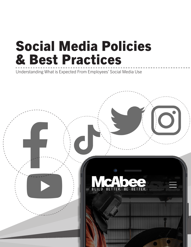# Social Media Policies & Best Practices

Understanding What is Expected From Employees' Social Media Use

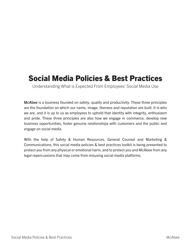#### Social Media Policies & Best Practices

Understanding What is Expected From Employees' Social Media Use

McAbee is a business founded on safety, quality and productivity. These three principles are the foundation on which our name, image, likeness and reputation are built. It is who we are, and it is up to us as employees to uphold that identity with integrity, enthusiasm and pride. These three principles are also how we engage in commerce, develop new business opportunities, foster genuine relationships with customers and the public and *engage on social media*.

With the help of Safety & Human Resources, General Counsel and Marketing & Communications, this social media policies & best practices toolkit is being presented to protect you from any physical or emotional harm, and to protect you and McAbee from any legal repercussions that may come from misusing social media platforms.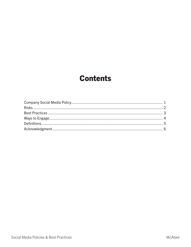#### **Contents**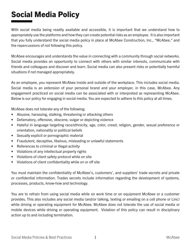# Social Media Policy

With social media being readily available and accessible, it is important that we understand how to appropriately use the platforms and how they can create potential risks as an employee. It is also important that you fully understand the social media policy in place at McAbee Construction, Inc., "McAbee," and the repercussions of not following this policy.

McAbee encourages and understands the value in connecting with a community through social networks. Social media provides an opportunity to connect with others with similar interests, communicate with friends and colleagues and discover and learn. Social media can also present risks or potentially harmful situations if not managed appropriately.

As an employee, you represent McAbee inside and outside of the workplace. This includes social media. Social media is an extension of your personal brand and your employer, in this case, McAbee. Any engagement practiced on social media can be associated with or interpreted as representing McAbee. Below is our policy for engaging in social media. You are expected to adhere to this policy at all times.

McAbee does not tolerate any of the following:

- Abusive, harassing, stalking, threatening or attacking others
- Defamatory, offensive, obscene, vulgar or depicting violence
- Hateful in language targeting race/ethnicity, age, color, creed, religion, gender, sexual preference or orientation, nationality or political beliefs
- Sexually explicit or pornographic material
- Fraudulent, deceptive, libelous, misleading or unlawful statements
- References to criminal or illegal activity
- Violations of any intellectual property rights
- Violations of client safety protocol while on site
- Violations of client confidentiality while on or off site

You must maintain the confidentiality of McAbee's, customers', and suppliers' trade secrets and private or confidential information. Trades secrets include information regarding the development of systems, processes, products, know-how and technology.

You are to refrain from using social media while on work time or on equipment McAbee or a customer provides. This also includes any social media (and/or talking, texting or emailing on a cell phone or Linc) while driving or operating equipment for McAbee. McAbee does not tolerate the use of social media or mobile devices while driving or operating equipment. Violation of this policy can result in disciplinary action up to and including termination.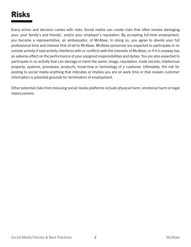# Risks

Every action and decision comes with risks. Social media can create risks that often involve damaging your, your family's and friends', and/or your employer's reputation. By accepting full-time employment, you become a representative, an ambassador, of McAbee. In doing so, you agree to devote your full professional time and interest first-of-all to McAbee. McAbee personnel are expected to participate in no outside activity if said activity interferes with or conflicts with the interests of McAbee, or if it in anyway has an adverse effect on the performance of your assigned responsibilities and duties. You are also expected to participate in no activity that can damage or harm the name, image, reputation, trade secrets, intellectual property, systems, processes, products, know-how or technology of a customer. Ultimately, the risk for posting to social media anything that indicates or implies you are on work time or that reveals customer information is potential grounds for termination of employment.

Other potential risks from misusing social media platforms include physical harm, emotional harm or legal repercussions.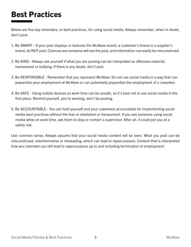#### Best Practices

Below are five key reminders, or best practices, for using social media. Always remember, when in doubt, don't post.

- 1. Be SMART If your post displays or features the McAbee brand, a customer's brand or a supplier's brand, do NOT post. Chances are someone will see the post, and information can easily be misconstrued.
- 2. Be KIND Always ask yourself if what you are posting can be interpreted as offensive material, harassment or bullying. If there is any doubt, don't post.
- 3. Be RESPONSIBLE Remember that you represent McAbee. Do not use social media in a way that can jeopardize your employment at McAbee or can potentially jeopardize the employment of a coworker.
- 4. Be SAFE Using mobile devices on work time can be unsafe, so it's best not to use social media in the first place. Remind yourself, you're working, don't be posting.
- 5. Be ACCOUNTABLE You can hold yourself and your coworkers accountable for implementing social media best practices without the fear or retaliation or harassment. If you see someone using social media while on work time, ask them to stop or contact a supervisor. After all, it could put you at a safety risk.

Use common sense. Always assume that your social media content will be seen. What you post can be misconstrued, misinformative or misleading, which can lead to repercussions. Content that is interpreted how you intended can still lead to repercussions up to and including termination of employment.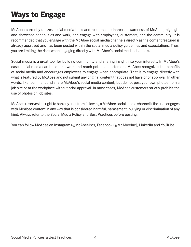# Ways to Engage

McAbee currently utilizes social media tools and resources to increase awareness of McAbee, highlight and showcase capabilities and work, and engage with employees, customers, and the community. It is recommended that you engage with the McAbee social media channels directly as the content featured is already approved and has been posted within the social media policy guidelines and expectations. Thus, you are limiting the risks when engaging directly with McAbee's social media channels.

Social media is a great tool for building community and sharing insight into your interests. In McAbee's case, social media can build a network and reach potential customers. McAbee recognizes the benefits of social media and encourages employees to engage when appropriate. That is to engage directly with what is featured by McAbee and not submit any original content that does not have prior approval. In other words, like, comment and share McAbee's social media content, but do not post your own photos from a job site or at the workplace without prior approval. In most cases, McAbee customers strictly prohibit the use of photos on job sites.

McAbee reserves the right to ban any user from following a McAbee social media channel if the user engages with McAbee content in any way that is considered harmful, harassment, bullying or discrimination of any kind. Always refer to the Social Media Policy and Best Practices before posting.

You can follow McAbee on Instagram (@McAbeeInc), Facebook (@McAbeeInc), LinkedIn and YouTube.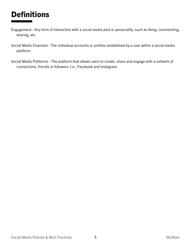## **Definitions**

- Engagement Any form of interaction with a social media post or personality, such as liking, commenting, sharing, etc.
- Social Media Channels The individual accounts or profiles established by a user within a social media platform.
- Social Media Platforms The platform that allows users to create, share and engage with a network of connections, friends or followers. I.e., Facebook and Instagram.